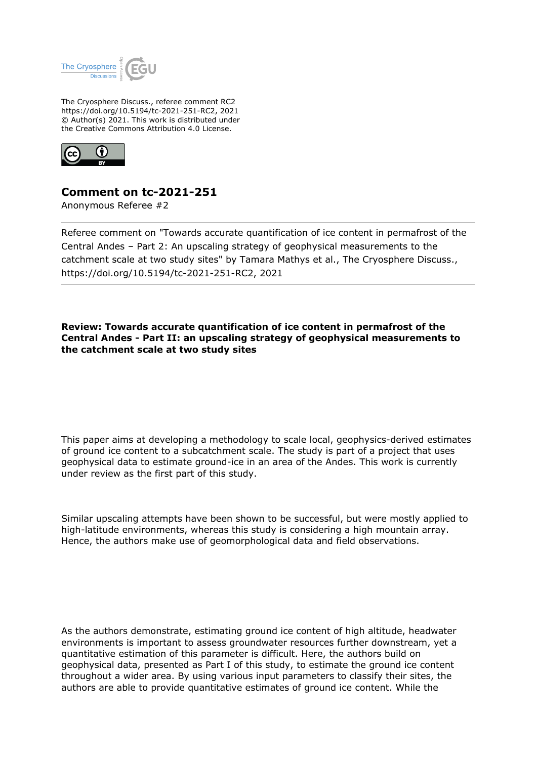

The Cryosphere Discuss., referee comment RC2 https://doi.org/10.5194/tc-2021-251-RC2, 2021 © Author(s) 2021. This work is distributed under the Creative Commons Attribution 4.0 License.



## **Comment on tc-2021-251**

Anonymous Referee #2

Referee comment on "Towards accurate quantification of ice content in permafrost of the Central Andes – Part 2: An upscaling strategy of geophysical measurements to the catchment scale at two study sites" by Tamara Mathys et al., The Cryosphere Discuss., https://doi.org/10.5194/tc-2021-251-RC2, 2021

**Review: Towards accurate quantification of ice content in permafrost of the Central Andes - Part II: an upscaling strategy of geophysical measurements to the catchment scale at two study sites**

This paper aims at developing a methodology to scale local, geophysics-derived estimates of ground ice content to a subcatchment scale. The study is part of a project that uses geophysical data to estimate ground-ice in an area of the Andes. This work is currently under review as the first part of this study.

Similar upscaling attempts have been shown to be successful, but were mostly applied to high-latitude environments, whereas this study is considering a high mountain array. Hence, the authors make use of geomorphological data and field observations.

As the authors demonstrate, estimating ground ice content of high altitude, headwater environments is important to assess groundwater resources further downstream, yet a quantitative estimation of this parameter is difficult. Here, the authors build on geophysical data, presented as Part I of this study, to estimate the ground ice content throughout a wider area. By using various input parameters to classify their sites, the authors are able to provide quantitative estimates of ground ice content. While the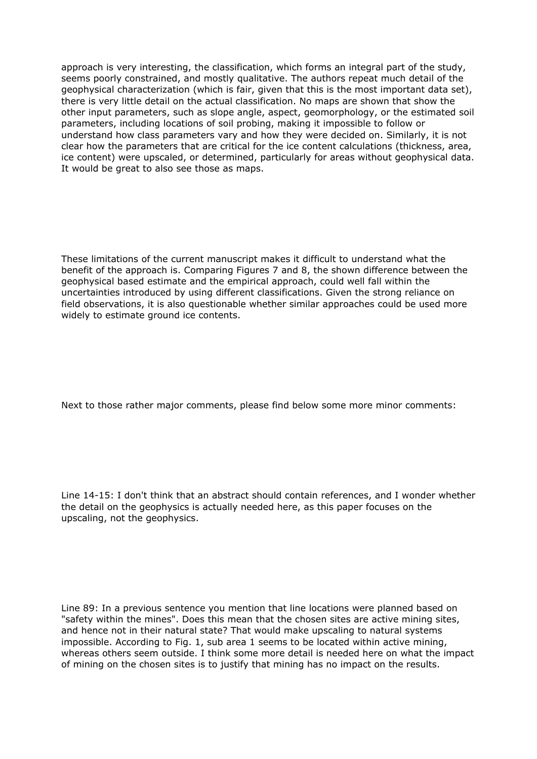approach is very interesting, the classification, which forms an integral part of the study, seems poorly constrained, and mostly qualitative. The authors repeat much detail of the geophysical characterization (which is fair, given that this is the most important data set), there is very little detail on the actual classification. No maps are shown that show the other input parameters, such as slope angle, aspect, geomorphology, or the estimated soil parameters, including locations of soil probing, making it impossible to follow or understand how class parameters vary and how they were decided on. Similarly, it is not clear how the parameters that are critical for the ice content calculations (thickness, area, ice content) were upscaled, or determined, particularly for areas without geophysical data. It would be great to also see those as maps.

These limitations of the current manuscript makes it difficult to understand what the benefit of the approach is. Comparing Figures 7 and 8, the shown difference between the geophysical based estimate and the empirical approach, could well fall within the uncertainties introduced by using different classifications. Given the strong reliance on field observations, it is also questionable whether similar approaches could be used more widely to estimate ground ice contents.

Next to those rather major comments, please find below some more minor comments:

Line 14-15: I don't think that an abstract should contain references, and I wonder whether the detail on the geophysics is actually needed here, as this paper focuses on the upscaling, not the geophysics.

Line 89: In a previous sentence you mention that line locations were planned based on "safety within the mines". Does this mean that the chosen sites are active mining sites, and hence not in their natural state? That would make upscaling to natural systems impossible. According to Fig. 1, sub area 1 seems to be located within active mining, whereas others seem outside. I think some more detail is needed here on what the impact of mining on the chosen sites is to justify that mining has no impact on the results.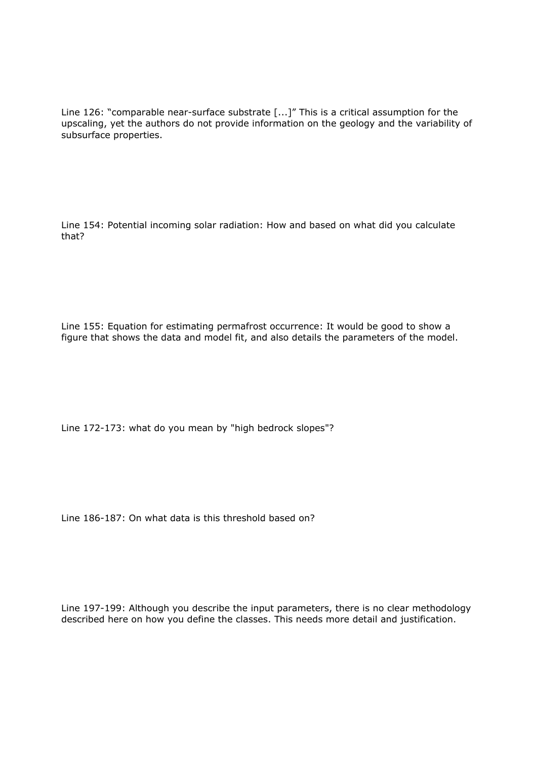Line 126: "comparable near-surface substrate [...]" This is a critical assumption for the upscaling, yet the authors do not provide information on the geology and the variability of subsurface properties.

Line 154: Potential incoming solar radiation: How and based on what did you calculate that?

Line 155: Equation for estimating permafrost occurrence: It would be good to show a figure that shows the data and model fit, and also details the parameters of the model.

Line 172-173: what do you mean by "high bedrock slopes"?

Line 186-187: On what data is this threshold based on?

Line 197-199: Although you describe the input parameters, there is no clear methodology described here on how you define the classes. This needs more detail and justification.